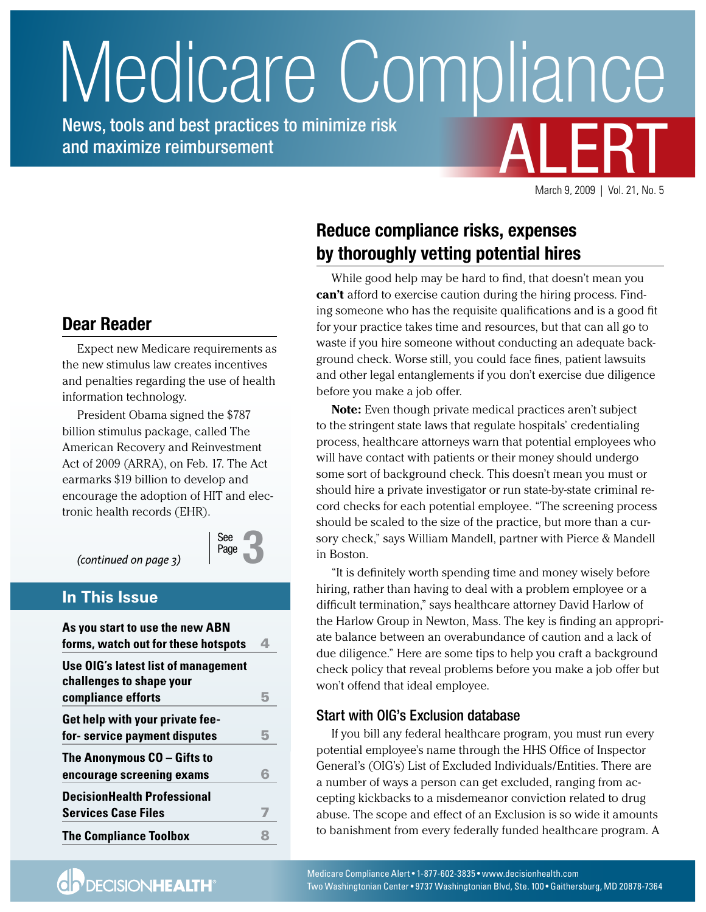# <span id="page-0-0"></span>**ALERT** Medicare Compliance

News, tools and best practices to minimize risk and maximize reimbursement

March 9, 2009 | Vol. 21, No. 5

# **Reduce compliance risks, expenses by thoroughly vetting potential hires**

While good help may be hard to find, that doesn't mean you **can't** afford to exercise caution during the hiring process. Finding someone who has the requisite qualifications and is a good fit for your practice takes time and resources, but that can all go to waste if you hire someone without conducting an adequate background check. Worse still, you could face fines, patient lawsuits and other legal entanglements if you don't exercise due diligence before you make a job offer.

**Note:** Even though private medical practices aren't subject to the stringent state laws that regulate hospitals' credentialing process, healthcare attorneys warn that potential employees who will have contact with patients or their money should undergo some sort of background check. This doesn't mean you must or should hire a private investigator or run state-by-state criminal record checks for each potential employee. "The screening process should be scaled to the size of the practice, but more than a cursory check," says William Mandell, partner with Pierce & Mandell in Boston.

"It is definitely worth spending time and money wisely before hiring, rather than having to deal with a problem employee or a difficult termination," says healthcare attorney David Harlow of the Harlow Group in Newton, Mass. The key is finding an appropriate balance between an overabundance of caution and a lack of due diligence." Here are some tips to help you craft a background check policy that reveal problems before you make a job offer but won't offend that ideal employee.

## Start with OIG's Exclusion database

If you bill any federal healthcare program, you must run every potential employee's name through the HHS Office of Inspector General's (OIG's) List of Excluded Individuals/Entities. There are a number of ways a person can get excluded, ranging from accepting kickbacks to a misdemeanor conviction related to drug abuse. The scope and effect of an Exclusion is so wide it amounts to banishment from every federally funded healthcare program. A

## **Dear Reader**

Expect new Medicare requirements as the new stimulus law creates incentives and penalties regarding the use of health information technology.

President Obama signed the \$787 billion stimulus package, called The American Recovery and Reinvestment Act of 2009 (ARRA), on Feb. 17. The Act earmarks \$19 billion to develop and encourage the adoption of HIT and electronic health records (EHR).

*[\(continued on page 3\)](#page-2-0)*



## **In This Issue**

| As you start to use the new ABN<br>forms, watch out for these hotspots                | 4 |
|---------------------------------------------------------------------------------------|---|
| Use OIG's latest list of management<br>challenges to shape your<br>compliance efforts | 5 |
| Get help with your private fee-<br>for-service payment disputes                       | 5 |
| The Anonymous CO - Gifts to<br>encourage screening exams                              | 6 |
| <b>DecisionHealth Professional</b><br><b>Services Case Files</b>                      |   |
| <b>The Compliance Toolbox</b>                                                         |   |

**CD** DECISIONHEALTH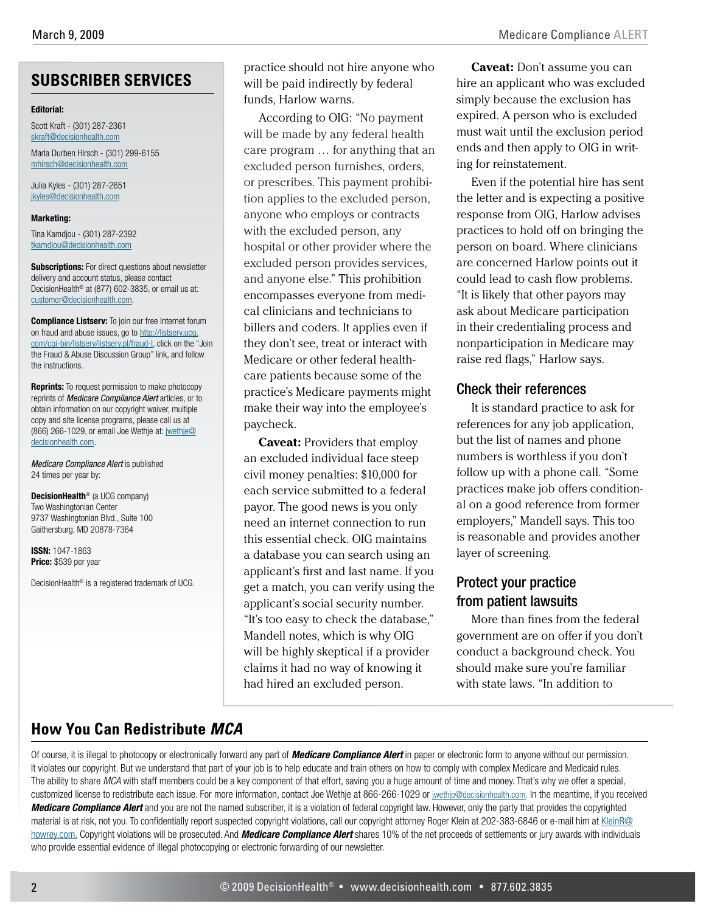## **SUBSCRIBER SERVICES**

#### **Editorial:**

Scott Kraft - (301) 287-2361 [skraft@decisionhealth.com](mailto:skraft@decisionhealth.com)

Marla Durben Hirsch - (301) 299-6155 [mhirsch@decisionhealth.com](mailto:mhirsch@decisionhealth.com)

Julia Kyles - (301) 287-2651 [jkyles@decisionhealth.com](mailto:jkyles@decisionhealth.com)

#### **Marketing:**

Tina Kamdjou - (301) 287-2392 [tkamdjou@decisionhealth.com](mailto:tkamdjou@decisionhealth.com)

**Subscriptions:** For direct questions about newsletter delivery and account status, please contact DecisionHealth® at (877) 602-3835, or email us at: [customer@decisionhealth.com](mailto:customer@decisionhealth.com).

**Compliance Listserv:** To join our free Internet forum on fraud and abuse issues, go to [http://listserv.ucg.](http://listserv.ucg.com/cgi-bin/listserv/listserv.pl/fraud-l) [com/cgi-bin/listserv/listserv.pl/fraud-l,](http://listserv.ucg.com/cgi-bin/listserv/listserv.pl/fraud-l) click on the "Join the Fraud & Abuse Discussion Group" link, and follow the instructions.

**Reprints:** To request permission to make photocopy reprints of *Medicare Compliance Alert* articles, or to obtain information on our copyright waiver, multiple copy and site license programs, please call us at (866) 266-1029, or email Joe Wethje at: [jwethje@](mailto:jwethje@decisionhealth.com) [decisionhealth.com.](mailto:jwethje@decisionhealth.com)

*Medicare Compliance Alert* is published 24 times per year by:

**DecisionHealth**® (a UCG company) Two Washingtonian Center 9737 Washingtonian Blvd., Suite 100 Gaithersburg, MD 20878-7364

**ISSN:** 1047-1863 **Price:** \$539 per year

DecisionHealth® is a registered trademark of UCG.

practice should not hire anyone who will be paid indirectly by federal funds, Harlow warns.

According to OIG: "No payment will be made by any federal health care program … for anything that an excluded person furnishes, orders, or prescribes. This payment prohibition applies to the excluded person, anyone who employs or contracts with the excluded person, any hospital or other provider where the excluded person provides services, and anyone else." This prohibition encompasses everyone from medical clinicians and technicians to billers and coders. It applies even if they don't see, treat or interact with Medicare or other federal healthcare patients because some of the practice's Medicare payments might make their way into the employee's paycheck.

**Caveat:** Providers that employ an excluded individual face steep civil money penalties: \$10,000 for each service submitted to a federal payor. The good news is you only need an internet connection to run this essential check. OIG maintains a database you can search using an applicant's first and last name. If you get a match, you can verify using the applicant's social security number. "It's too easy to check the database," Mandell notes, which is why OIG will be highly skeptical if a provider claims it had no way of knowing it had hired an excluded person.

**Caveat:** Don't assume you can hire an applicant who was excluded simply because the exclusion has expired. A person who is excluded must wait until the exclusion period ends and then apply to OIG in writing for reinstatement.

Even if the potential hire has sent the letter and is expecting a positive response from OIG, Harlow advises practices to hold off on bringing the person on board. Where clinicians are concerned Harlow points out it could lead to cash flow problems. "It is likely that other payors may ask about Medicare participation in their credentialing process and nonparticipation in Medicare may raise red flags," Harlow says.

### Check their references

It is standard practice to ask for references for any job application, but the list of names and phone numbers is worthless if you don't follow up with a phone call. "Some practices make job offers conditional on a good reference from former employers," Mandell says. This too is reasonable and provides another layer of screening.

## Protect your practice from patient lawsuits

More than fines from the federal government are on offer if you don't conduct a background check. You should make sure you're familiar with state laws. "In addition to

## **How You Can Redistribute** *MCA*

Of course, it is illegal to photocopy or electronically forward any part of *Medicare Compliance Alert* in paper or electronic form to anyone without our permission. It violates our copyright. But we understand that part of your job is to help educate and train others on how to comply with complex Medicare and Medicaid rules. The ability to share *MCA* with staff members could be a key component of that effort, saving you a huge amount of time and money. That's why we offer a special, customized license to redistribute each issue. For more information, contact Joe Wethje at 866-266-1029 or [jwethje@decisionhealth.com.](mailto:jwethje@decisionhealth.com) In the meantime, if you received *Medicare Compliance Alert* and you are not the named subscriber, it is a violation of federal copyright law. However, only the party that provides the copyrighted material is at risk, not you. To confidentially report suspected copyright violations, call our copyright attorney Roger Klein at 202-383-6846 or e-mail him at KleinR@ howrey.com. Copyright violations will be prosecuted. And *Medicare Compliance Alert* shares 10% of the net proceeds of settlements or jury awards with individuals who provide essential evidence of illegal photocopying or electronic forwarding of our newsletter.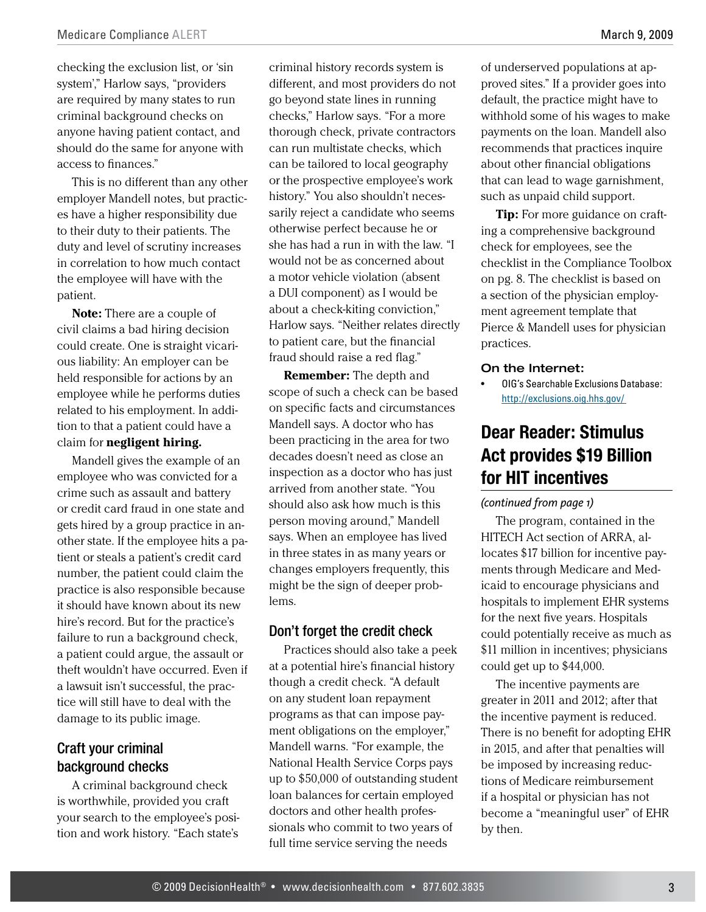<span id="page-2-0"></span>checking the exclusion list, or 'sin system'," Harlow says, "providers are required by many states to run criminal background checks on anyone having patient contact, and should do the same for anyone with access to finances."

This is no different than any other employer Mandell notes, but practices have a higher responsibility due to their duty to their patients. The duty and level of scrutiny increases in correlation to how much contact the employee will have with the patient.

**Note:** There are a couple of civil claims a bad hiring decision could create. One is straight vicarious liability: An employer can be held responsible for actions by an employee while he performs duties related to his employment. In addition to that a patient could have a claim for **negligent hiring.**

Mandell gives the example of an employee who was convicted for a crime such as assault and battery or credit card fraud in one state and gets hired by a group practice in another state. If the employee hits a patient or steals a patient's credit card number, the patient could claim the practice is also responsible because it should have known about its new hire's record. But for the practice's failure to run a background check, a patient could argue, the assault or theft wouldn't have occurred. Even if a lawsuit isn't successful, the practice will still have to deal with the damage to its public image.

## Craft your criminal background checks

A criminal background check is worthwhile, provided you craft your search to the employee's position and work history. "Each state's

criminal history records system is different, and most providers do not go beyond state lines in running checks," Harlow says. "For a more thorough check, private contractors can run multistate checks, which can be tailored to local geography or the prospective employee's work history." You also shouldn't necessarily reject a candidate who seems otherwise perfect because he or she has had a run in with the law. "I would not be as concerned about a motor vehicle violation (absent a DUI component) as I would be about a check-kiting conviction," Harlow says. "Neither relates directly to patient care, but the financial fraud should raise a red flag."

**Remember:** The depth and scope of such a check can be based on specific facts and circumstances Mandell says. A doctor who has been practicing in the area for two decades doesn't need as close an inspection as a doctor who has just arrived from another state. "You should also ask how much is this person moving around," Mandell says. When an employee has lived in three states in as many years or changes employers frequently, this might be the sign of deeper problems.

#### Don't forget the credit check

Practices should also take a peek at a potential hire's financial history though a credit check. "A default on any student loan repayment programs as that can impose payment obligations on the employer," Mandell warns. "For example, the National Health Service Corps pays up to \$50,000 of outstanding student loan balances for certain employed doctors and other health professionals who commit to two years of full time service serving the needs

of underserved populations at approved sites." If a provider goes into default, the practice might have to withhold some of his wages to make payments on the loan. Mandell also recommends that practices inquire about other financial obligations that can lead to wage garnishment, such as unpaid child support.

**Tip:** For more guidance on crafting a comprehensive background check for employees, see the checklist in the Compliance Toolbox on pg. 8. The checklist is based on a section of the physician employment agreement template that Pierce & Mandell uses for physician practices.

#### On the Internet:

• OIG's Searchable Exclusions Database: <http://exclusions.oig.hhs.gov/>

# **Dear Reader: Stimulus Act provides \$19 Billion for HIT incentives**

#### *[\(continued from page 1\)](#page-0-0)*

The program, contained in the HITECH Act section of ARRA, allocates \$17 billion for incentive payments through Medicare and Medicaid to encourage physicians and hospitals to implement EHR systems for the next five years. Hospitals could potentially receive as much as \$11 million in incentives; physicians could get up to \$44,000.

The incentive payments are greater in 2011 and 2012; after that the incentive payment is reduced. There is no benefit for adopting EHR in 2015, and after that penalties will be imposed by increasing reductions of Medicare reimbursement if a hospital or physician has not become a "meaningful user" of EHR by then.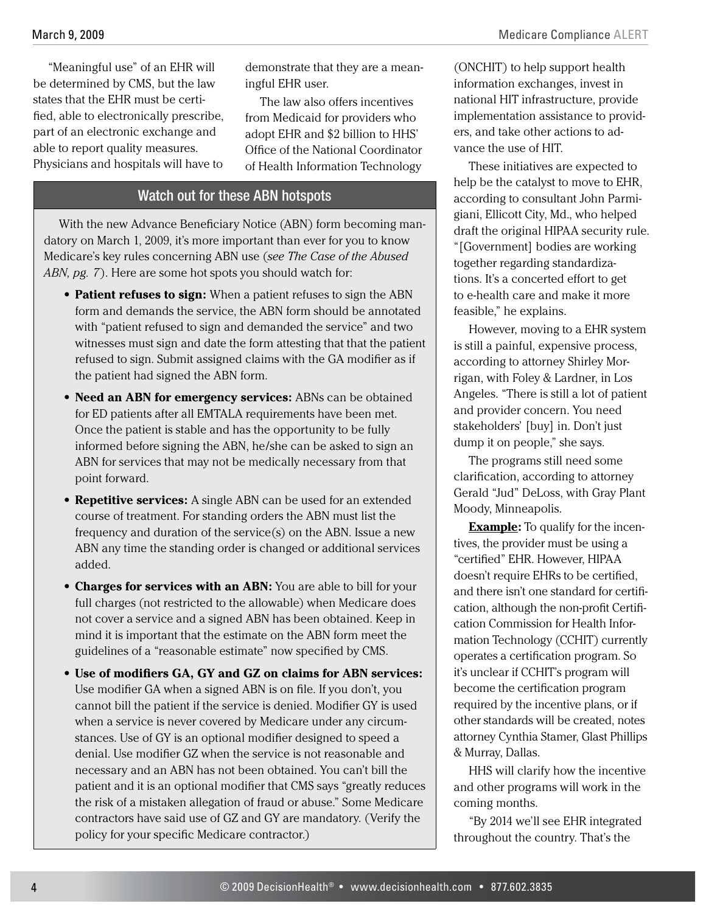Medicare Compliance ALERT

<span id="page-3-0"></span>"Meaningful use" of an EHR will be determined by CMS, but the law states that the EHR must be certified, able to electronically prescribe, part of an electronic exchange and able to report quality measures. Physicians and hospitals will have to

demonstrate that they are a meaningful EHR user.

The law also offers incentives from Medicaid for providers who adopt EHR and \$2 billion to HHS' Office of the National Coordinator of Health Information Technology

#### Watch out for these ABN hotspots

With the new Advance Beneficiary Notice (ABN) form becoming mandatory on March 1, 2009, it's more important than ever for you to know Medicare's key rules concerning ABN use (*see The Case of the Abused ABN, pg. 7*[\). Here are some hot spots you should watch for:](#page-6-0) 

- **Patient refuses to sign:** When a patient refuses to sign the ABN form and demands the service, the ABN form should be annotated with "patient refused to sign and demanded the service" and two witnesses must sign and date the form attesting that that the patient refused to sign. Submit assigned claims with the GA modifier as if the patient had signed the ABN form.
- Need an ABN for emergency services: ABNs can be obtained for ED patients after all EMTALA requirements have been met. Once the patient is stable and has the opportunity to be fully informed before signing the ABN, he/she can be asked to sign an ABN for services that may not be medically necessary from that point forward.
- **Repetitive services:** A single ABN can be used for an extended course of treatment. For standing orders the ABN must list the frequency and duration of the service(s) on the ABN. Issue a new ABN any time the standing order is changed or additional services added.
- **Charges for services with an ABN:** You are able to bill for your full charges (not restricted to the allowable) when Medicare does not cover a service and a signed ABN has been obtained. Keep in mind it is important that the estimate on the ABN form meet the guidelines of a "reasonable estimate" now specified by CMS.
- **• Use of modifiers GA, GY and GZ on claims for ABN services:** Use modifier GA when a signed ABN is on file. If you don't, you cannot bill the patient if the service is denied. Modifier GY is used when a service is never covered by Medicare under any circumstances. Use of GY is an optional modifier designed to speed a denial. Use modifier GZ when the service is not reasonable and necessary and an ABN has not been obtained. You can't bill the patient and it is an optional modifier that CMS says "greatly reduces the risk of a mistaken allegation of fraud or abuse." Some Medicare contractors have said use of GZ and GY are mandatory. (Verify the policy for your specific Medicare contractor.)

(ONCHIT) to help support health information exchanges, invest in national HIT infrastructure, provide implementation assistance to providers, and take other actions to advance the use of HIT.

These initiatives are expected to help be the catalyst to move to EHR, according to consultant John Parmigiani, Ellicott City, Md., who helped draft the original HIPAA security rule. "[Government] bodies are working together regarding standardizations. It's a concerted effort to get to e-health care and make it more feasible," he explains.

However, moving to a EHR system is still a painful, expensive process, according to attorney Shirley Morrigan, with Foley & Lardner, in Los Angeles. "There is still a lot of patient and provider concern. You need stakeholders' [buy] in. Don't just dump it on people," she says.

The programs still need some clarification, according to attorney Gerald "Jud" DeLoss, with Gray Plant Moody, Minneapolis.

**Example:** To qualify for the incentives, the provider must be using a "certified" EHR. However, HIPAA doesn't require EHRs to be certified, and there isn't one standard for certification, although the non-profit Certification Commission for Health Information Technology (CCHIT) currently operates a certification program. So it's unclear if CCHIT's program will become the certification program required by the incentive plans, or if other standards will be created, notes attorney Cynthia Stamer, Glast Phillips & Murray, Dallas.

HHS will clarify how the incentive and other programs will work in the coming months.

"By 2014 we'll see EHR integrated throughout the country. That's the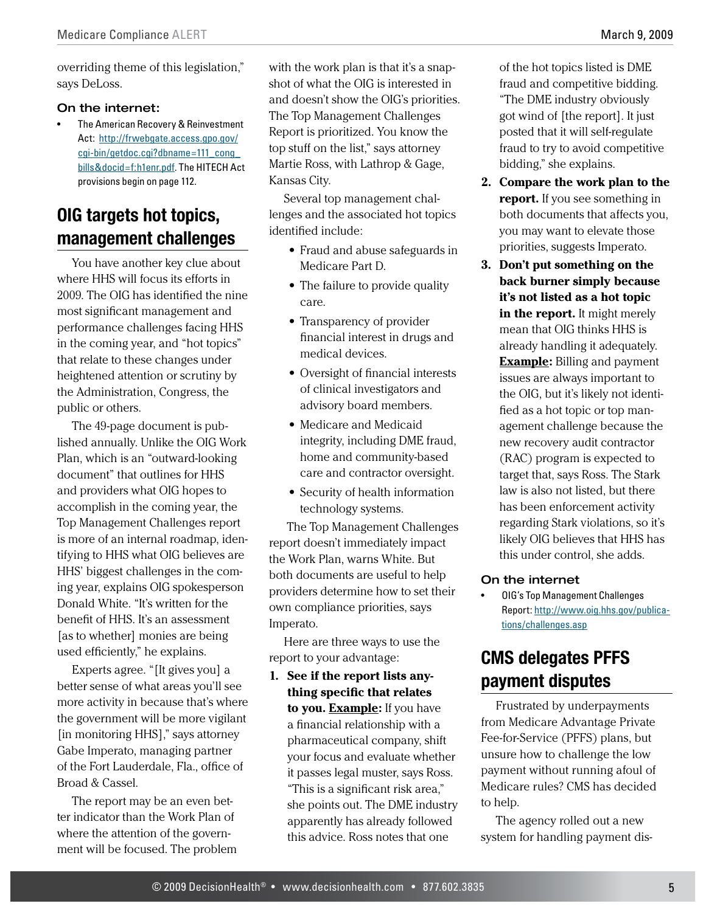<span id="page-4-0"></span>overriding theme of this legislation," says DeLoss.

#### On the internet:

• The American Recovery & Reinvestment Act: [http://frwebgate.access.gpo.gov/](http://frwebgate.access.gpo.gov/cgi-bin/getdoc.cgi?dbname=111_cong_bills&docid=f:h1enr.pdf) [cgi-bin/getdoc.cgi?dbname=111\\_cong\\_](http://frwebgate.access.gpo.gov/cgi-bin/getdoc.cgi?dbname=111_cong_bills&docid=f:h1enr.pdf) [bills&docid=f:h1enr.pdf](http://frwebgate.access.gpo.gov/cgi-bin/getdoc.cgi?dbname=111_cong_bills&docid=f:h1enr.pdf). The HITECH Act provisions begin on page 112.

# **OIG targets hot topics, management challenges**

You have another key clue about where HHS will focus its efforts in 2009. The OIG has identified the nine most significant management and performance challenges facing HHS in the coming year, and "hot topics" that relate to these changes under heightened attention or scrutiny by the Administration, Congress, the public or others.

The 49-page document is published annually. Unlike the OIG Work Plan, which is an "outward-looking document" that outlines for HHS and providers what OIG hopes to accomplish in the coming year, the Top Management Challenges report is more of an internal roadmap, identifying to HHS what OIG believes are HHS' biggest challenges in the coming year, explains OIG spokesperson Donald White. "It's written for the benefit of HHS. It's an assessment [as to whether] monies are being used efficiently," he explains.

Experts agree. "[It gives you] a better sense of what areas you'll see more activity in because that's where the government will be more vigilant [in monitoring HHS]," says attorney Gabe Imperato, managing partner of the Fort Lauderdale, Fla., office of Broad & Cassel.

The report may be an even better indicator than the Work Plan of where the attention of the government will be focused. The problem with the work plan is that it's a snapshot of what the OIG is interested in and doesn't show the OIG's priorities. The Top Management Challenges Report is prioritized. You know the top stuff on the list," says attorney Martie Ross, with Lathrop & Gage, Kansas City.

Several top management challenges and the associated hot topics identified include:

- **•** Fraud and abuse safeguards in Medicare Part D.
- The failure to provide quality care.
- **•** Transparency of provider financial interest in drugs and medical devices.
- Oversight of financial interests of clinical investigators and advisory board members.
- **•** Medicare and Medicaid integrity, including DME fraud, home and community-based care and contractor oversight.
- Security of health information technology systems.

 The Top Management Challenges report doesn't immediately impact the Work Plan, warns White. But both documents are useful to help providers determine how to set their own compliance priorities, says Imperato.

Here are three ways to use the report to your advantage:

**1. See if the report lists anything specific that relates to you. Example:** If you have a financial relationship with a pharmaceutical company, shift your focus and evaluate whether it passes legal muster, says Ross. "This is a significant risk area," she points out. The DME industry apparently has already followed this advice. Ross notes that one

of the hot topics listed is DME fraud and competitive bidding. "The DME industry obviously got wind of [the report]. It just posted that it will self-regulate fraud to try to avoid competitive bidding," she explains.

- **2. Compare the work plan to the report.** If you see something in both documents that affects you, you may want to elevate those priorities, suggests Imperato.
- **3. Don't put something on the back burner simply because it's not listed as a hot topic in the report.** It might merely mean that OIG thinks HHS is already handling it adequately. **Example:** Billing and payment issues are always important to the OIG, but it's likely not identified as a hot topic or top management challenge because the new recovery audit contractor (RAC) program is expected to target that, says Ross. The Stark law is also not listed, but there has been enforcement activity regarding Stark violations, so it's likely OIG believes that HHS has this under control, she adds.

#### On the internet

• OIG's Top Management Challenges Report: [http://www.oig.hhs.gov/publica](http://www.oig.hhs.gov/publications/challenges.asp)[tions/challenges.as](http://www.oig.hhs.gov/publications/challenges.asp)p

# **CMS delegates PFFS payment disputes**

Frustrated by underpayments from Medicare Advantage Private Fee-for-Service (PFFS) plans, but unsure how to challenge the low payment without running afoul of Medicare rules? CMS has decided to help.

The agency rolled out a new system for handling payment dis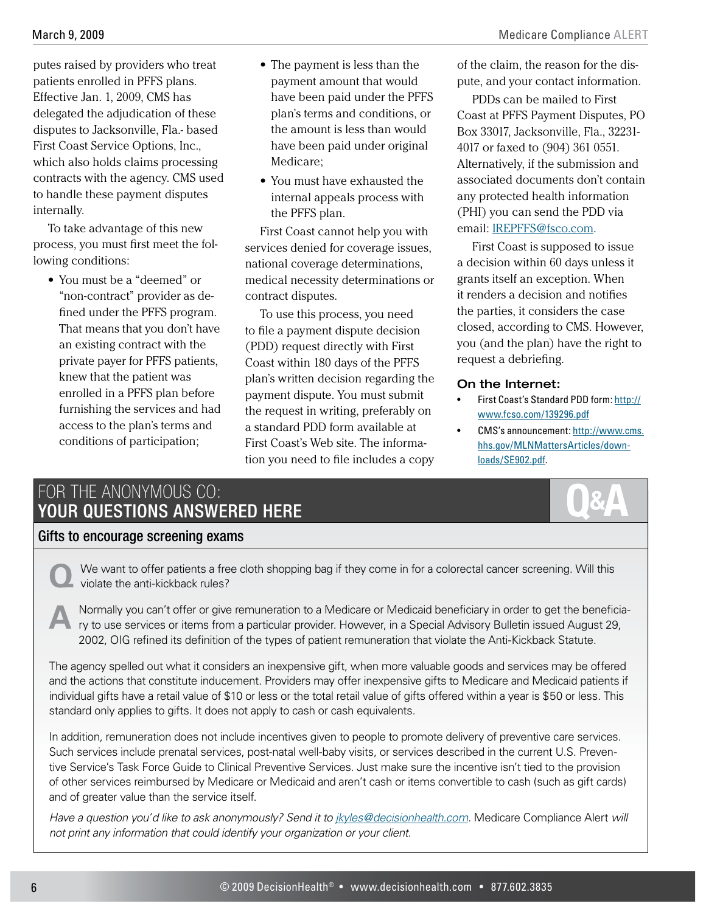<span id="page-5-0"></span>putes raised by providers who treat patients enrolled in PFFS plans. Effective Jan. 1, 2009, CMS has delegated the adjudication of these disputes to Jacksonville, Fla.- based First Coast Service Options, Inc., which also holds claims processing contracts with the agency. CMS used to handle these payment disputes internally.

To take advantage of this new process, you must first meet the following conditions:

**•** You must be a "deemed" or "non-contract" provider as defined under the PFFS program. That means that you don't have an existing contract with the private payer for PFFS patients, knew that the patient was enrolled in a PFFS plan before furnishing the services and had access to the plan's terms and conditions of participation;

- The payment is less than the payment amount that would have been paid under the PFFS plan's terms and conditions, or the amount is less than would have been paid under original Medicare;
- You must have exhausted the internal appeals process with the PFFS plan.

First Coast cannot help you with services denied for coverage issues, national coverage determinations, medical necessity determinations or contract disputes.

To use this process, you need to file a payment dispute decision (PDD) request directly with First Coast within 180 days of the PFFS plan's written decision regarding the payment dispute. You must submit the request in writing, preferably on a standard PDD form available at First Coast's Web site. The information you need to file includes a copy of the claim, the reason for the dispute, and your contact information.

PDDs can be mailed to First Coast at PFFS Payment Disputes, PO Box 33017, Jacksonville, Fla., 32231- 4017 or faxed to (904) 361 0551. Alternatively, if the submission and associated documents don't contain any protected health information (PHI) you can send the PDD via email: [IREPFFS@fsco.com.](mailto:IREPFFS@fsco.com)

First Coast is supposed to issue a decision within 60 days unless it grants itself an exception. When it renders a decision and notifies the parties, it considers the case closed, according to CMS. However, you (and the plan) have the right to request a debriefing.

#### On the Internet:

- First Coast's Standard PDD form: [http://](http://www.fcso.com/139296.pdf) [www.fcso.com/139296.pdf](http://www.fcso.com/139296.pdf)
- CMS's announcement: [http://www.cms.](http://www.cms.hhs.gov/MLNMattersArticles/downloads/SE902.pdf) [hhs.gov/MLNMattersArticles/down](http://www.cms.hhs.gov/MLNMattersArticles/downloads/SE902.pdf)[loads/SE902.pdf](http://www.cms.hhs.gov/MLNMattersArticles/downloads/SE902.pdf).

# For the Anonymous CO: Your Questions Answered Here

## Gifts to encourage screening exams

We want to offer patients a free cloth shopping bag if they come in for a colorectal cancer screening. Will this violate the anti-kickback rules?

Normally you can't offer or give remuneration to a Medicare or Medicaid beneficiary in order to get the beneficia-<br>Ty to use services or items from a particular provider. However, in a Special Advisory Bulletin issued Augu 2002, OIG refined its definition of the types of patient remuneration that violate the Anti-Kickback Statute.

The agency spelled out what it considers an inexpensive gift, when more valuable goods and services may be offered and the actions that constitute inducement. Providers may offer inexpensive gifts to Medicare and Medicaid patients if individual gifts have a retail value of \$10 or less or the total retail value of gifts offered within a year is \$50 or less. This standard only applies to gifts. It does not apply to cash or cash equivalents.

In addition, remuneration does not include incentives given to people to promote delivery of preventive care services. Such services include prenatal services, post-natal well-baby visits, or services described in the current U.S. Preventive Service's Task Force Guide to Clinical Preventive Services. Just make sure the incentive isn't tied to the provision of other services reimbursed by Medicare or Medicaid and aren't cash or items convertible to cash (such as gift cards) and of greater value than the service itself.

*Have a question you'd like to ask anonymously? Send it to [jkyles@decisionhealth.com.](mailto:jkyles@decisionhealth.com)* Medicare Compliance Alert *will not print any information that could identify your organization or your client.*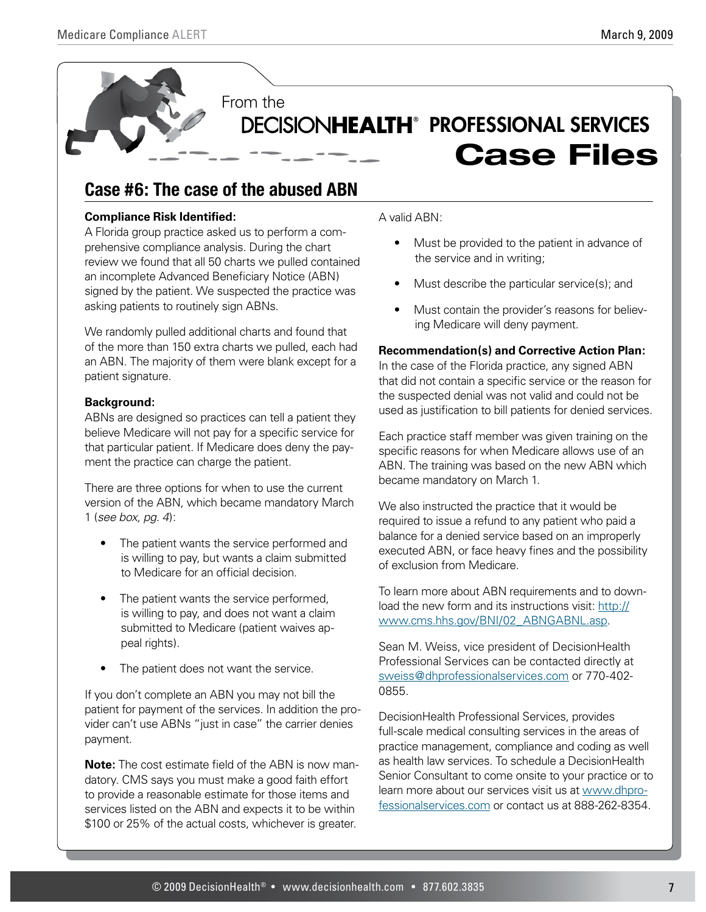<span id="page-6-0"></span>

# **Case #6: The case of the abused ABN**

#### **Compliance Risk Identified:**

A Florida group practice asked us to perform a comprehensive compliance analysis. During the chart review we found that all 50 charts we pulled contained an incomplete Advanced Beneficiary Notice (ABN) signed by the patient. We suspected the practice was asking patients to routinely sign ABNs.

We randomly pulled additional charts and found that of the more than 150 extra charts we pulled, each had an ABN. The majority of them were blank except for a patient signature.

#### **Background:**

ABNs are designed so practices can tell a patient they believe Medicare will not pay for a specific service for that particular patient. If Medicare does deny the payment the practice can charge the patient.

There are three options for when to use the current version of the ABN, which became mandatory March 1 (*[see box, pg. 4](#page-3-0)*):

- The patient wants the service performed and is willing to pay, but wants a claim submitted to Medicare for an official decision.
- The patient wants the service performed. is willing to pay, and does not want a claim submitted to Medicare (patient waives appeal rights).
- The patient does not want the service.

If you don't complete an ABN you may not bill the patient for payment of the services. In addition the provider can't use ABNs "just in case" the carrier denies payment.

**Note:** The cost estimate field of the ABN is now mandatory. CMS says you must make a good faith effort to provide a reasonable estimate for those items and services listed on the ABN and expects it to be within \$100 or 25% of the actual costs, whichever is greater.

A valid ABN:

- Must be provided to the patient in advance of the service and in writing;
- Must describe the particular service(s); and
- Must contain the provider's reasons for believing Medicare will deny payment.

#### **Recommendation(s) and Corrective Action Plan:**

In the case of the Florida practice, any signed ABN that did not contain a specific service or the reason for the suspected denial was not valid and could not be used as justification to bill patients for denied services.

Each practice staff member was given training on the specific reasons for when Medicare allows use of an ABN. The training was based on the new ABN which became mandatory on March 1.

We also instructed the practice that it would be required to issue a refund to any patient who paid a balance for a denied service based on an improperly executed ABN, or face heavy fines and the possibility of exclusion from Medicare.

To learn more about ABN requirements and to download the new form and its instructions visit: [http://](http://www.cms.hhs.gov/BNI/02_ABNGABNL.asp) [www.cms.hhs.gov/BNI/02\\_ABNGABNL.asp.](http://www.cms.hhs.gov/BNI/02_ABNGABNL.asp)

Sean M. Weiss, vice president of DecisionHealth Professional Services can be contacted directly at [sweiss@dhprofessionalservices.com](mailto:sweiss@dhprofessionalservices.com) or 770-402- 0855.

DecisionHealth Professional Services, provides full-scale medical consulting services in the areas of practice management, compliance and coding as well as health law services. To schedule a DecisionHealth Senior Consultant to come onsite to your practice or to learn more about our services visit us at [www.dhpro](www.dhprofessionalservices.com)[fessionalservices.com](www.dhprofessionalservices.com) or contact us at 888-262-8354.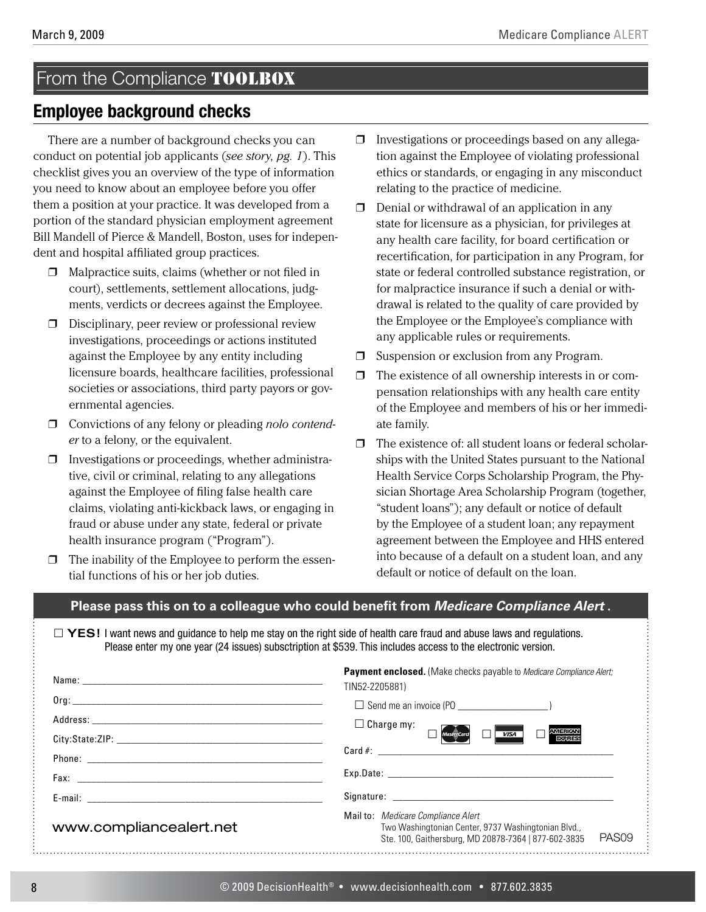# <span id="page-7-0"></span>From the Compliance TOOLBOX

## **Employee background checks**

There are a number of background checks you can conduct on potential job applicants (*[see story, pg. 1](#page-0-0)*). This checklist gives you an overview of the type of information you need to know about an employee before you offer them a position at your practice. It was developed from a portion of the standard physician employment agreement Bill Mandell of Pierce & Mandell, Boston, uses for independent and hospital affiliated group practices.

- ❒ Malpractice suits, claims (whether or not filed in court), settlements, settlement allocations, judgments, verdicts or decrees against the Employee.
- ❒ Disciplinary, peer review or professional review investigations, proceedings or actions instituted against the Employee by any entity including licensure boards, healthcare facilities, professional societies or associations, third party payors or governmental agencies.
- ❒ Convictions of any felony or pleading *nolo contender* to a felony, or the equivalent.
- ❒ Investigations or proceedings, whether administrative, civil or criminal, relating to any allegations against the Employee of filing false health care claims, violating anti-kickback laws, or engaging in fraud or abuse under any state, federal or private health insurance program ("Program").
- $\Box$  The inability of the Employee to perform the essential functions of his or her job duties.
- ❒ Investigations or proceedings based on any allegation against the Employee of violating professional ethics or standards, or engaging in any misconduct relating to the practice of medicine.
- $\Box$  Denial or withdrawal of an application in any state for licensure as a physician, for privileges at any health care facility, for board certification or recertification, for participation in any Program, for state or federal controlled substance registration, or for malpractice insurance if such a denial or withdrawal is related to the quality of care provided by the Employee or the Employee's compliance with any applicable rules or requirements.
- ❒ Suspension or exclusion from any Program.
- ❒ The existence of all ownership interests in or compensation relationships with any health care entity of the Employee and members of his or her immediate family.
- ❒ The existence of: all student loans or federal scholarships with the United States pursuant to the National Health Service Corps Scholarship Program, the Physician Shortage Area Scholarship Program (together, "student loans"); any default or notice of default by the Employee of a student loan; any repayment agreement between the Employee and HHS entered into because of a default on a student loan, and any default or notice of default on the loan.

#### **Please pass this on to a colleague who could benefit from** *Medicare Compliance Alert* **.**

□ YES! I want news and guidance to help me stay on the right side of health care fraud and abuse laws and regulations. Please enter my one year (24 issues) subsctription at \$539. This includes access to the electronic version.

|                         | <b>Payment enclosed.</b> (Make checks payable to Medicare Compliance Alert;<br>TIN52-2205881)                                                                          |  |
|-------------------------|------------------------------------------------------------------------------------------------------------------------------------------------------------------------|--|
|                         |                                                                                                                                                                        |  |
|                         | $\Box$ Charge my:<br>MasterCard<br><b>AMERICAN</b>                                                                                                                     |  |
|                         | <b>VISA</b><br><b>EXPRESS</b>                                                                                                                                          |  |
|                         |                                                                                                                                                                        |  |
|                         |                                                                                                                                                                        |  |
|                         |                                                                                                                                                                        |  |
| www.compliancealert.net | Mail to: Medicare Compliance Alert<br>Two Washingtonian Center, 9737 Washingtonian Blvd.,<br>PAS <sub>09</sub><br>Ste. 100, Gaithersburg, MD 20878-7364   877-602-3835 |  |